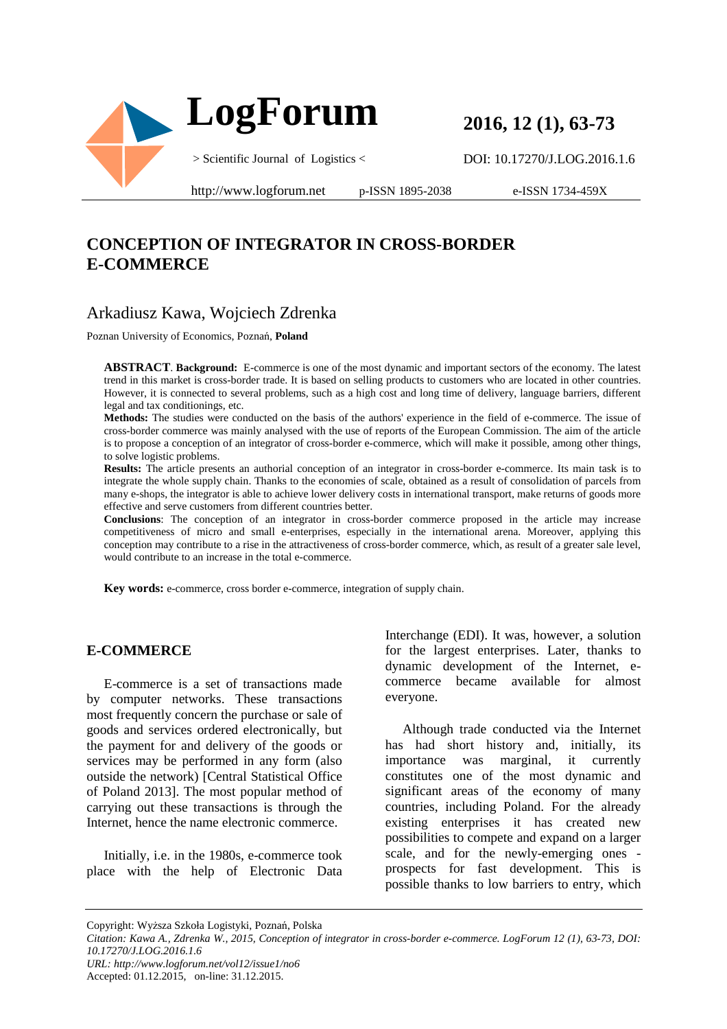

**2016, 12 (1), 63-73** 

DOI: 10.17270/J.LOG.2016.1.6

http://www.logforum.net p-ISSN 1895-2038

e-ISSN 1734-459X

# **CONCEPTION OF INTEGRATOR IN CROSS-BORDER E-COMMERCE**

# Arkadiusz Kawa, Wojciech Zdrenka

Poznan University of Economics, Poznań, **Poland**

**ABSTRACT**. **Background:** E-commerce is one of the most dynamic and important sectors of the economy. The latest trend in this market is cross-border trade. It is based on selling products to customers who are located in other countries. However, it is connected to several problems, such as a high cost and long time of delivery, language barriers, different legal and tax conditionings, etc.

**Methods:** The studies were conducted on the basis of the authors' experience in the field of e-commerce. The issue of cross-border commerce was mainly analysed with the use of reports of the European Commission. The aim of the article is to propose a conception of an integrator of cross-border e-commerce, which will make it possible, among other things, to solve logistic problems.

**Results:** The article presents an authorial conception of an integrator in cross-border e-commerce. Its main task is to integrate the whole supply chain. Thanks to the economies of scale, obtained as a result of consolidation of parcels from many e-shops, the integrator is able to achieve lower delivery costs in international transport, make returns of goods more effective and serve customers from different countries better.

**Conclusions**: The conception of an integrator in cross-border commerce proposed in the article may increase competitiveness of micro and small e-enterprises, especially in the international arena. Moreover, applying this conception may contribute to a rise in the attractiveness of cross-border commerce, which, as result of a greater sale level, would contribute to an increase in the total e-commerce.

**Key words:** e-commerce, cross border e-commerce, integration of supply chain.

#### **E-COMMERCE**

E-commerce is a set of transactions made by computer networks. These transactions most frequently concern the purchase or sale of goods and services ordered electronically, but the payment for and delivery of the goods or services may be performed in any form (also outside the network) [Central Statistical Office of Poland 2013]. The most popular method of carrying out these transactions is through the Internet, hence the name electronic commerce.

Initially, i.e. in the 1980s, e-commerce took place with the help of Electronic Data Interchange (EDI). It was, however, a solution for the largest enterprises. Later, thanks to dynamic development of the Internet, ecommerce became available for almost everyone.

Although trade conducted via the Internet has had short history and, initially, its importance was marginal, it currently constitutes one of the most dynamic and significant areas of the economy of many countries, including Poland. For the already existing enterprises it has created new possibilities to compete and expand on a larger scale, and for the newly-emerging ones prospects for fast development. This is possible thanks to low barriers to entry, which

Copyright: Wyższa Szkoła Logistyki, Poznań, Polska

*URL: http://www.logforum.net/vol12/issue1/no6*

Accepted: 01.12.2015, on-line: 31.12.2015.

*Citation: Kawa A., Zdrenka W., 2015, Conception of integrator in cross-border e-commerce. LogForum 12 (1), 63-73, DOI: 10.17270/J.LOG.2016.1.6*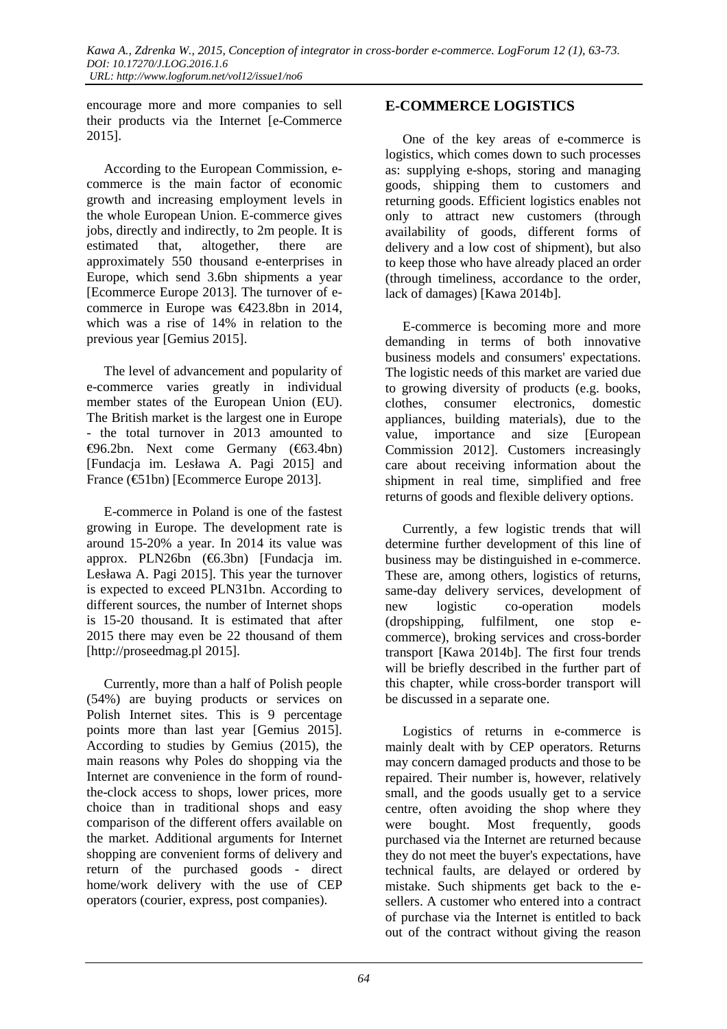encourage more and more companies to sell their products via the Internet [e-Commerce 2015].

According to the European Commission, ecommerce is the main factor of economic growth and increasing employment levels in the whole European Union. E-commerce gives jobs, directly and indirectly, to 2m people. It is estimated that, altogether, there are approximately 550 thousand e-enterprises in Europe, which send 3.6bn shipments a year [Ecommerce Europe 2013]. The turnover of ecommerce in Europe was €423.8bn in 2014, which was a rise of 14% in relation to the previous year [Gemius 2015].

The level of advancement and popularity of e-commerce varies greatly in individual member states of the European Union (EU). The British market is the largest one in Europe - the total turnover in 2013 amounted to €96.2bn. Next come Germany (€63.4bn) [Fundacja im. Lesława A. Pagi 2015] and France (€51bn) [Ecommerce Europe 2013].

E-commerce in Poland is one of the fastest growing in Europe. The development rate is around 15-20% a year. In 2014 its value was approx. PLN26bn (€6.3bn) [Fundacja im. Lesława A. Pagi 2015]. This year the turnover is expected to exceed PLN31bn. According to different sources, the number of Internet shops is 15-20 thousand. It is estimated that after 2015 there may even be 22 thousand of them [http://proseedmag.pl 2015].

Currently, more than a half of Polish people (54%) are buying products or services on Polish Internet sites. This is 9 percentage points more than last year [Gemius 2015]. According to studies by Gemius (2015), the main reasons why Poles do shopping via the Internet are convenience in the form of roundthe-clock access to shops, lower prices, more choice than in traditional shops and easy comparison of the different offers available on the market. Additional arguments for Internet shopping are convenient forms of delivery and return of the purchased goods - direct home/work delivery with the use of CEP operators (courier, express, post companies).

# **E-COMMERCE LOGISTICS**

One of the key areas of e-commerce is logistics, which comes down to such processes as: supplying e-shops, storing and managing goods, shipping them to customers and returning goods. Efficient logistics enables not only to attract new customers (through availability of goods, different forms of delivery and a low cost of shipment), but also to keep those who have already placed an order (through timeliness, accordance to the order, lack of damages) [Kawa 2014b].

E-commerce is becoming more and more demanding in terms of both innovative business models and consumers' expectations. The logistic needs of this market are varied due to growing diversity of products (e.g. books, clothes, consumer electronics, domestic appliances, building materials), due to the value, importance and size [European Commission 2012]. Customers increasingly care about receiving information about the shipment in real time, simplified and free returns of goods and flexible delivery options.

Currently, a few logistic trends that will determine further development of this line of business may be distinguished in e-commerce. These are, among others, logistics of returns, same-day delivery services, development of new logistic co-operation models (dropshipping, fulfilment, one stop ecommerce), broking services and cross-border transport [Kawa 2014b]. The first four trends will be briefly described in the further part of this chapter, while cross-border transport will be discussed in a separate one.

Logistics of returns in e-commerce is mainly dealt with by CEP operators. Returns may concern damaged products and those to be repaired. Their number is, however, relatively small, and the goods usually get to a service centre, often avoiding the shop where they were bought. Most frequently, goods purchased via the Internet are returned because they do not meet the buyer's expectations, have technical faults, are delayed or ordered by mistake. Such shipments get back to the esellers. A customer who entered into a contract of purchase via the Internet is entitled to back out of the contract without giving the reason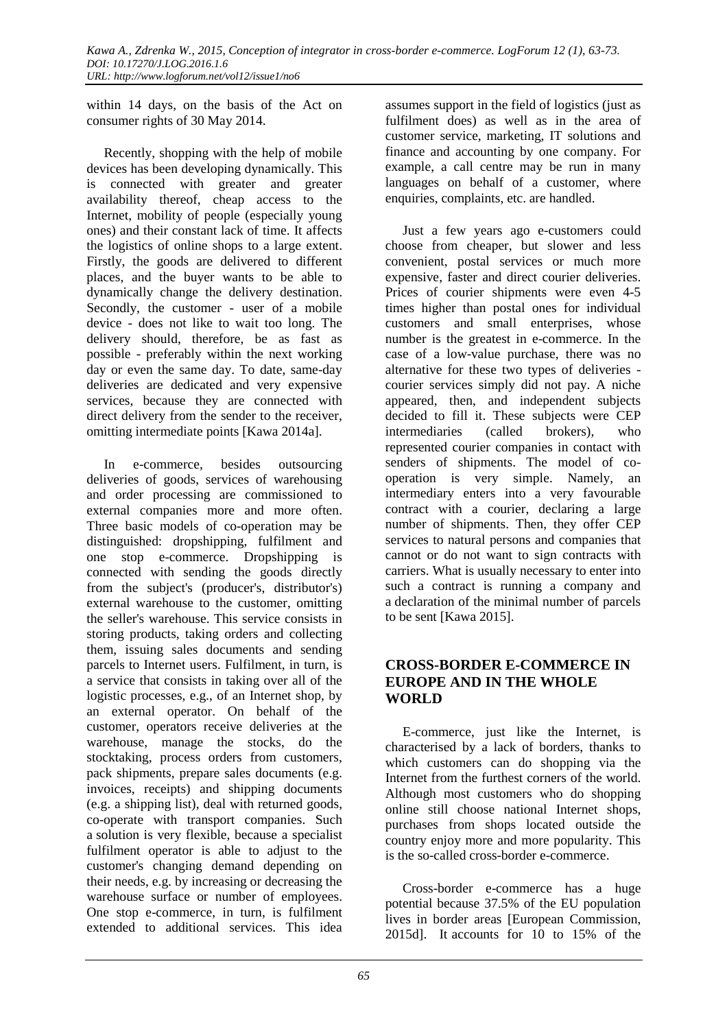within 14 days, on the basis of the Act on consumer rights of 30 May 2014.

Recently, shopping with the help of mobile devices has been developing dynamically. This is connected with greater and greater availability thereof, cheap access to the Internet, mobility of people (especially young ones) and their constant lack of time. It affects the logistics of online shops to a large extent. Firstly, the goods are delivered to different places, and the buyer wants to be able to dynamically change the delivery destination. Secondly, the customer - user of a mobile device - does not like to wait too long. The delivery should, therefore, be as fast as possible - preferably within the next working day or even the same day. To date, same-day deliveries are dedicated and very expensive services, because they are connected with direct delivery from the sender to the receiver, omitting intermediate points [Kawa 2014a].

In e-commerce, besides outsourcing deliveries of goods, services of warehousing and order processing are commissioned to external companies more and more often. Three basic models of co-operation may be distinguished: dropshipping, fulfilment and one stop e-commerce. Dropshipping is connected with sending the goods directly from the subject's (producer's, distributor's) external warehouse to the customer, omitting the seller's warehouse. This service consists in storing products, taking orders and collecting them, issuing sales documents and sending parcels to Internet users. Fulfilment, in turn, is a service that consists in taking over all of the logistic processes, e.g., of an Internet shop, by an external operator. On behalf of the customer, operators receive deliveries at the warehouse, manage the stocks, do the stocktaking, process orders from customers, pack shipments, prepare sales documents (e.g. invoices, receipts) and shipping documents (e.g. a shipping list), deal with returned goods, co-operate with transport companies. Such a solution is very flexible, because a specialist fulfilment operator is able to adjust to the customer's changing demand depending on their needs, e.g. by increasing or decreasing the warehouse surface or number of employees. One stop e-commerce, in turn, is fulfilment extended to additional services. This idea

assumes support in the field of logistics (just as fulfilment does) as well as in the area of customer service, marketing, IT solutions and finance and accounting by one company. For example, a call centre may be run in many languages on behalf of a customer, where enquiries, complaints, etc. are handled.

Just a few years ago e-customers could choose from cheaper, but slower and less convenient, postal services or much more expensive, faster and direct courier deliveries. Prices of courier shipments were even 4-5 times higher than postal ones for individual customers and small enterprises, whose number is the greatest in e-commerce. In the case of a low-value purchase, there was no alternative for these two types of deliveries courier services simply did not pay. A niche appeared, then, and independent subjects decided to fill it. These subjects were CEP intermediaries (called brokers), who represented courier companies in contact with senders of shipments. The model of cooperation is very simple. Namely, an intermediary enters into a very favourable contract with a courier, declaring a large number of shipments. Then, they offer CEP services to natural persons and companies that cannot or do not want to sign contracts with carriers. What is usually necessary to enter into such a contract is running a company and a declaration of the minimal number of parcels to be sent [Kawa 2015].

#### **CROSS-BORDER E-COMMERCE IN EUROPE AND IN THE WHOLE WORLD**

E-commerce, just like the Internet, is characterised by a lack of borders, thanks to which customers can do shopping via the Internet from the furthest corners of the world. Although most customers who do shopping online still choose national Internet shops, purchases from shops located outside the country enjoy more and more popularity. This is the so-called cross-border e-commerce.

Cross-border e-commerce has a huge potential because 37.5% of the EU population lives in border areas [European Commission, 2015d]. It accounts for 10 to 15% of the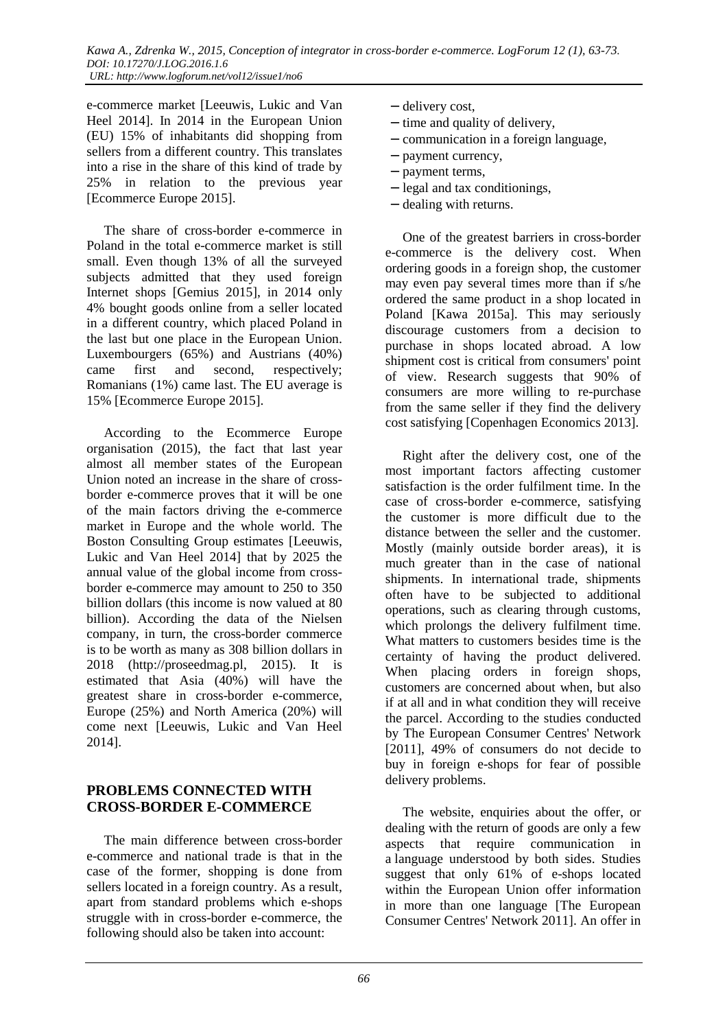e-commerce market [Leeuwis, Lukic and Van Heel 2014]. In 2014 in the European Union (EU) 15% of inhabitants did shopping from sellers from a different country. This translates into a rise in the share of this kind of trade by 25% in relation to the previous year [Ecommerce Europe 2015].

The share of cross-border e-commerce in Poland in the total e-commerce market is still small. Even though 13% of all the surveyed subjects admitted that they used foreign Internet shops [Gemius 2015], in 2014 only 4% bought goods online from a seller located in a different country, which placed Poland in the last but one place in the European Union. Luxembourgers (65%) and Austrians (40%) came first and second, respectively; Romanians (1%) came last. The EU average is 15% [Ecommerce Europe 2015].

According to the Ecommerce Europe organisation (2015), the fact that last year almost all member states of the European Union noted an increase in the share of crossborder e-commerce proves that it will be one of the main factors driving the e-commerce market in Europe and the whole world. The Boston Consulting Group estimates [Leeuwis, Lukic and Van Heel 2014] that by 2025 the annual value of the global income from crossborder e-commerce may amount to 250 to 350 billion dollars (this income is now valued at 80 billion). According the data of the Nielsen company, in turn, the cross-border commerce is to be worth as many as 308 billion dollars in 2018 (http://proseedmag.pl, 2015). It is estimated that Asia (40%) will have the greatest share in cross-border e-commerce, Europe (25%) and North America (20%) will come next [Leeuwis, Lukic and Van Heel 2014].

### **PROBLEMS CONNECTED WITH CROSS-BORDER E-COMMERCE**

The main difference between cross-border e-commerce and national trade is that in the case of the former, shopping is done from sellers located in a foreign country. As a result, apart from standard problems which e-shops struggle with in cross-border e-commerce, the following should also be taken into account:

- − delivery cost,
- − time and quality of delivery,
- − communication in a foreign language,
- − payment currency,
- − payment terms,
- − legal and tax conditionings,
- − dealing with returns.

One of the greatest barriers in cross-border e-commerce is the delivery cost. When ordering goods in a foreign shop, the customer may even pay several times more than if s/he ordered the same product in a shop located in Poland [Kawa 2015a]. This may seriously discourage customers from a decision to purchase in shops located abroad. A low shipment cost is critical from consumers' point of view. Research suggests that 90% of consumers are more willing to re-purchase from the same seller if they find the delivery cost satisfying [Copenhagen Economics 2013].

Right after the delivery cost, one of the most important factors affecting customer satisfaction is the order fulfilment time. In the case of cross-border e-commerce, satisfying the customer is more difficult due to the distance between the seller and the customer. Mostly (mainly outside border areas), it is much greater than in the case of national shipments. In international trade, shipments often have to be subjected to additional operations, such as clearing through customs, which prolongs the delivery fulfilment time. What matters to customers besides time is the certainty of having the product delivered. When placing orders in foreign shops, customers are concerned about when, but also if at all and in what condition they will receive the parcel. According to the studies conducted by The European Consumer Centres' Network [2011], 49% of consumers do not decide to buy in foreign e-shops for fear of possible delivery problems.

The website, enquiries about the offer, or dealing with the return of goods are only a few aspects that require communication in a language understood by both sides. Studies suggest that only 61% of e-shops located within the European Union offer information in more than one language [The European Consumer Centres' Network 2011]. An offer in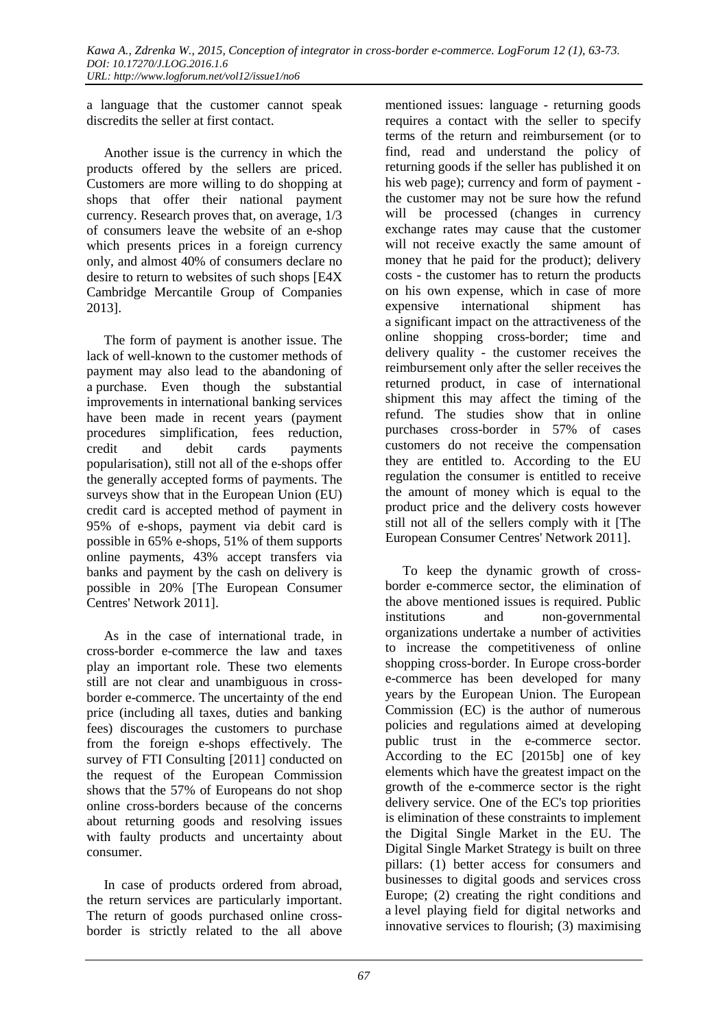a language that the customer cannot speak discredits the seller at first contact.

Another issue is the currency in which the products offered by the sellers are priced. Customers are more willing to do shopping at shops that offer their national payment currency. Research proves that, on average, 1/3 of consumers leave the website of an e-shop which presents prices in a foreign currency only, and almost 40% of consumers declare no desire to return to websites of such shops [E4X Cambridge Mercantile Group of Companies 2013].

The form of payment is another issue. The lack of well-known to the customer methods of payment may also lead to the abandoning of a purchase. Even though the substantial improvements in international banking services have been made in recent years (payment procedures simplification, fees reduction, credit and debit cards payments popularisation), still not all of the e-shops offer the generally accepted forms of payments. The surveys show that in the European Union (EU) credit card is accepted method of payment in 95% of e-shops, payment via debit card is possible in 65% e-shops, 51% of them supports online payments, 43% accept transfers via banks and payment by the cash on delivery is possible in 20% [The European Consumer Centres' Network 2011].

As in the case of international trade, in cross-border e-commerce the law and taxes play an important role. These two elements still are not clear and unambiguous in crossborder e-commerce. The uncertainty of the end price (including all taxes, duties and banking fees) discourages the customers to purchase from the foreign e-shops effectively. The survey of FTI Consulting [2011] conducted on the request of the European Commission shows that the 57% of Europeans do not shop online cross-borders because of the concerns about returning goods and resolving issues with faulty products and uncertainty about consumer.

In case of products ordered from abroad, the return services are particularly important. The return of goods purchased online crossborder is strictly related to the all above

mentioned issues: language - returning goods requires a contact with the seller to specify terms of the return and reimbursement (or to find, read and understand the policy of returning goods if the seller has published it on his web page); currency and form of payment the customer may not be sure how the refund will be processed (changes in currency exchange rates may cause that the customer will not receive exactly the same amount of money that he paid for the product); delivery costs - the customer has to return the products on his own expense, which in case of more expensive international shipment has a significant impact on the attractiveness of the online shopping cross-border; time and delivery quality - the customer receives the reimbursement only after the seller receives the returned product, in case of international shipment this may affect the timing of the refund. The studies show that in online purchases cross-border in 57% of cases customers do not receive the compensation they are entitled to. According to the EU regulation the consumer is entitled to receive the amount of money which is equal to the product price and the delivery costs however still not all of the sellers comply with it [The European Consumer Centres' Network 2011].

To keep the dynamic growth of crossborder e-commerce sector, the elimination of the above mentioned issues is required. Public institutions and non-governmental organizations undertake a number of activities to increase the competitiveness of online shopping cross-border. In Europe cross-border e-commerce has been developed for many years by the European Union. The European Commission (EC) is the author of numerous policies and regulations aimed at developing public trust in the e-commerce sector. According to the EC [2015b] one of key elements which have the greatest impact on the growth of the e-commerce sector is the right delivery service. One of the EC's top priorities is elimination of these constraints to implement the Digital Single Market in the EU. The Digital Single Market Strategy is built on three pillars: (1) better access for consumers and businesses to digital goods and services cross Europe; (2) creating the right conditions and a level playing field for digital networks and innovative services to flourish; (3) maximising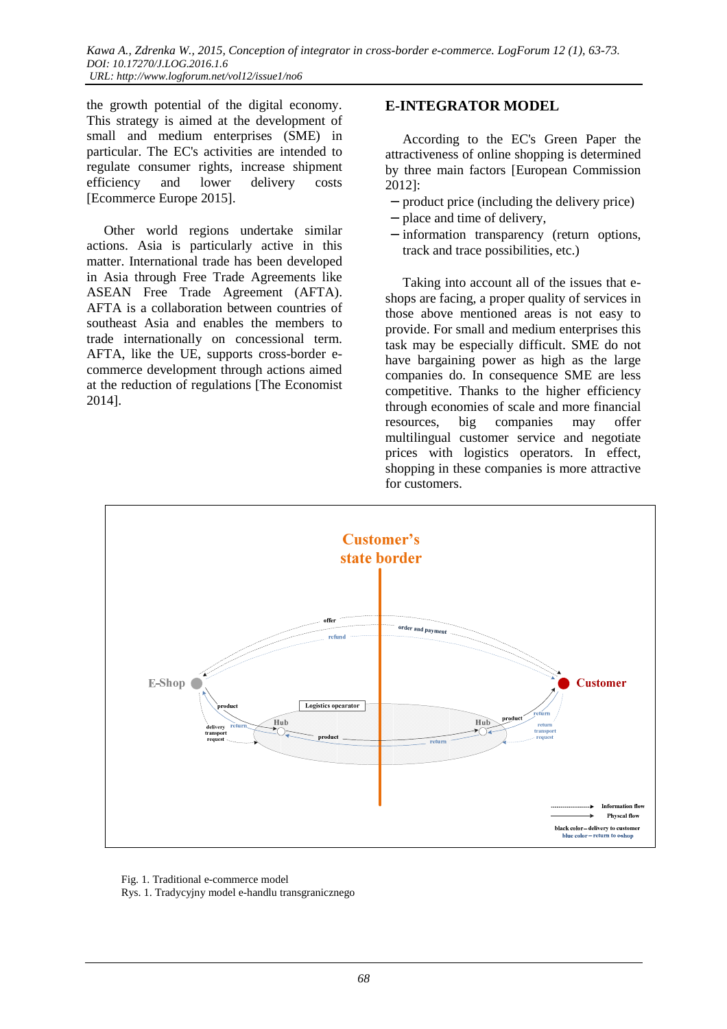the growth potential of the digital economy. This strategy is aimed at the development of small and medium enterprises (SME) in particular. The EC's activities are intended to regulate consumer rights, increase shipment efficiency and lower delivery costs [Ecommerce Europe 2015].

Other world regions undertake similar actions. Asia is particularly active in this matter. International trade has been developed in Asia through Free Trade Agreements like ASEAN Free Trade Agreement (AFTA). AFTA is a collaboration between countries of southeast Asia and enables the members to trade internationally on concessional term. AFTA, like the UE, supports cross-border ecommerce development through actions aimed at the reduction of regulations [The Economist 2014].

### **E-INTEGRATOR MODEL**

According to the EC's Green Paper the attractiveness of online shopping is determined by three main factors [European Commission 2012]:

- − product price (including the delivery price)
- − place and time of delivery,
- − information transparency (return options, track and trace possibilities, etc.)

Taking into account all of the issues that eshops are facing, a proper quality of services in those above mentioned areas is not easy to provide. For small and medium enterprises this task may be especially difficult. SME do not have bargaining power as high as the large companies do. In consequence SME are less competitive. Thanks to the higher efficiency through economies of scale and more financial resources, big companies may offer multilingual customer service and negotiate prices with logistics operators. In effect, shopping in these companies is more attractive for customers.



Fig. 1. Traditional e-commerce model

Rys. 1. Tradycyjny model e-handlu transgranicznego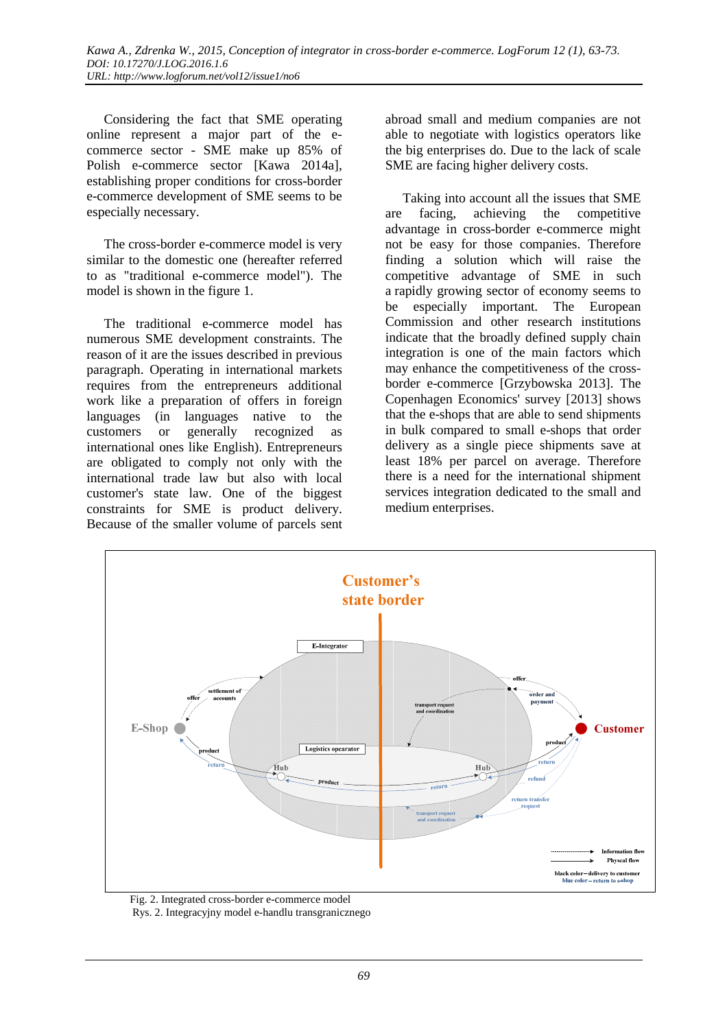Considering the fact that SME operating online represent a major part of the ecommerce sector - SME make up 85% of Polish e-commerce sector [Kawa 2014a], establishing proper conditions for cross-border e-commerce development of SME seems to be especially necessary.

The cross-border e-commerce model is very similar to the domestic one (hereafter referred to as "traditional e-commerce model"). The model is shown in the figure 1.

The traditional e-commerce model has numerous SME development constraints. The reason of it are the issues described in previous paragraph. Operating in international markets requires from the entrepreneurs additional work like a preparation of offers in foreign languages (in languages native to the customers or generally recognized as international ones like English). Entrepreneurs are obligated to comply not only with the international trade law but also with local customer's state law. One of the biggest constraints for SME is product delivery. Because of the smaller volume of parcels sent

abroad small and medium companies are not able to negotiate with logistics operators like the big enterprises do. Due to the lack of scale SME are facing higher delivery costs.

Taking into account all the issues that SME are facing, achieving the competitive advantage in cross-border e-commerce might not be easy for those companies. Therefore finding a solution which will raise the competitive advantage of SME in such a rapidly growing sector of economy seems to be especially important. The European Commission and other research institutions indicate that the broadly defined supply chain integration is one of the main factors which may enhance the competitiveness of the crossborder e-commerce [Grzybowska 2013]. The Copenhagen Economics' survey [2013] shows that the e-shops that are able to send shipments in bulk compared to small e-shops that order delivery as a single piece shipments save at least 18% per parcel on average. Therefore there is a need for the international shipment services integration dedicated to the small and medium enterprises.



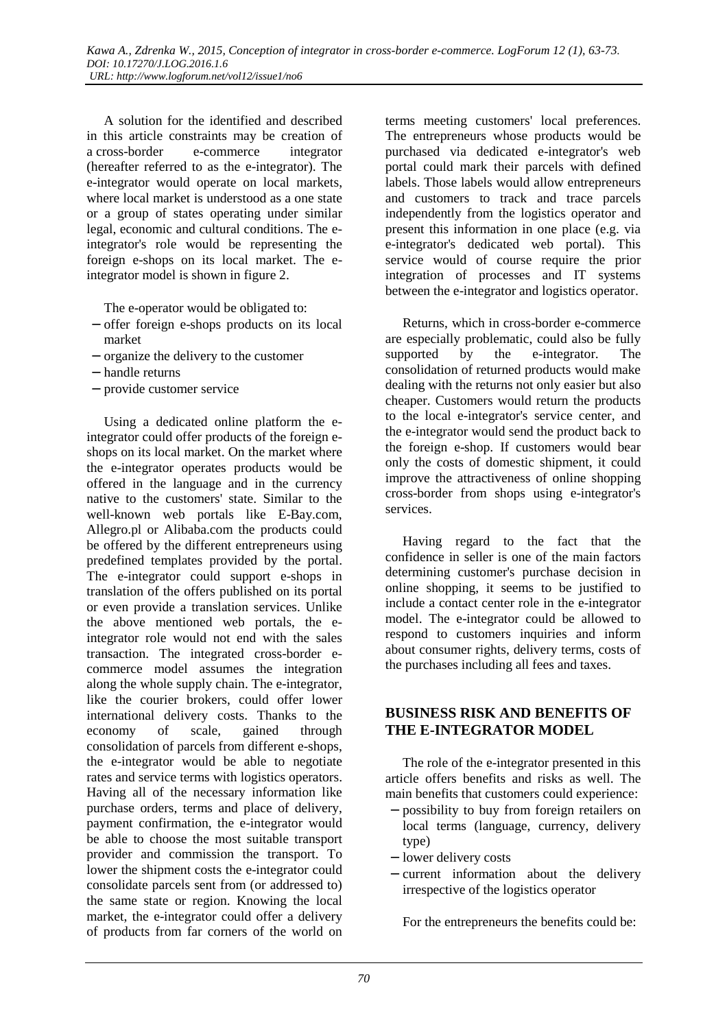A solution for the identified and described in this article constraints may be creation of a cross-border e-commerce integrator (hereafter referred to as the e-integrator). The e-integrator would operate on local markets, where local market is understood as a one state or a group of states operating under similar legal, economic and cultural conditions. The eintegrator's role would be representing the foreign e-shops on its local market. The eintegrator model is shown in figure 2.

The e-operator would be obligated to:

- − offer foreign e-shops products on its local market
- − organize the delivery to the customer
- − handle returns
- − provide customer service

Using a dedicated online platform the eintegrator could offer products of the foreign eshops on its local market. On the market where the e-integrator operates products would be offered in the language and in the currency native to the customers' state. Similar to the well-known web portals like E-Bay.com, Allegro.pl or Alibaba.com the products could be offered by the different entrepreneurs using predefined templates provided by the portal. The e-integrator could support e-shops in translation of the offers published on its portal or even provide a translation services. Unlike the above mentioned web portals, the eintegrator role would not end with the sales transaction. The integrated cross-border ecommerce model assumes the integration along the whole supply chain. The e-integrator, like the courier brokers, could offer lower international delivery costs. Thanks to the economy of scale, gained through consolidation of parcels from different e-shops, the e-integrator would be able to negotiate rates and service terms with logistics operators. Having all of the necessary information like purchase orders, terms and place of delivery, payment confirmation, the e-integrator would be able to choose the most suitable transport provider and commission the transport. To lower the shipment costs the e-integrator could consolidate parcels sent from (or addressed to) the same state or region. Knowing the local market, the e-integrator could offer a delivery of products from far corners of the world on

terms meeting customers' local preferences. The entrepreneurs whose products would be purchased via dedicated e-integrator's web portal could mark their parcels with defined labels. Those labels would allow entrepreneurs and customers to track and trace parcels independently from the logistics operator and present this information in one place (e.g. via e-integrator's dedicated web portal). This service would of course require the prior integration of processes and IT systems between the e-integrator and logistics operator.

Returns, which in cross-border e-commerce are especially problematic, could also be fully supported by the e-integrator. The consolidation of returned products would make dealing with the returns not only easier but also cheaper. Customers would return the products to the local e-integrator's service center, and the e-integrator would send the product back to the foreign e-shop. If customers would bear only the costs of domestic shipment, it could improve the attractiveness of online shopping cross-border from shops using e-integrator's services.

Having regard to the fact that the confidence in seller is one of the main factors determining customer's purchase decision in online shopping, it seems to be justified to include a contact center role in the e-integrator model. The e-integrator could be allowed to respond to customers inquiries and inform about consumer rights, delivery terms, costs of the purchases including all fees and taxes.

#### **BUSINESS RISK AND BENEFITS OF THE E-INTEGRATOR MODEL**

The role of the e-integrator presented in this article offers benefits and risks as well. The main benefits that customers could experience:

- − possibility to buy from foreign retailers on local terms (language, currency, delivery type)
- − lower delivery costs
- − current information about the delivery irrespective of the logistics operator

For the entrepreneurs the benefits could be: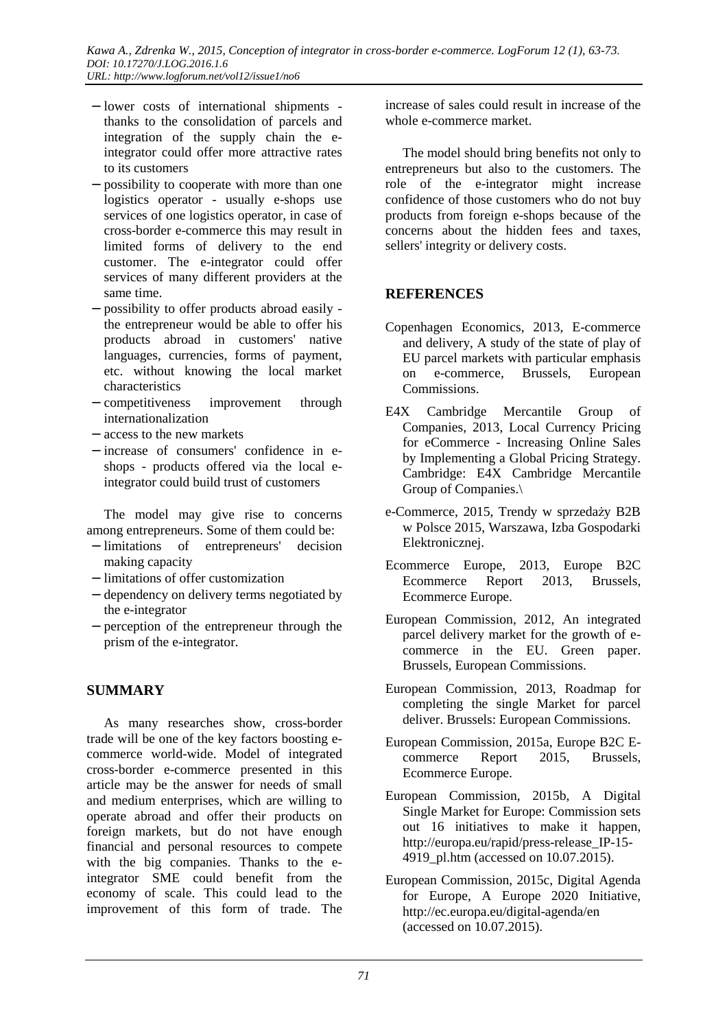- − lower costs of international shipments thanks to the consolidation of parcels and integration of the supply chain the eintegrator could offer more attractive rates to its customers
- − possibility to cooperate with more than one logistics operator - usually e-shops use services of one logistics operator, in case of cross-border e-commerce this may result in limited forms of delivery to the end customer. The e-integrator could offer services of many different providers at the same time.
- − possibility to offer products abroad easily the entrepreneur would be able to offer his products abroad in customers' native languages, currencies, forms of payment, etc. without knowing the local market characteristics
- − competitiveness improvement through internationalization
- − access to the new markets
- − increase of consumers' confidence in eshops - products offered via the local eintegrator could build trust of customers

The model may give rise to concerns among entrepreneurs. Some of them could be:

- − limitations of entrepreneurs' decision making capacity
- − limitations of offer customization
- − dependency on delivery terms negotiated by the e-integrator
- − perception of the entrepreneur through the prism of the e-integrator.

## **SUMMARY**

As many researches show, cross-border trade will be one of the key factors boosting ecommerce world-wide. Model of integrated cross-border e-commerce presented in this article may be the answer for needs of small and medium enterprises, which are willing to operate abroad and offer their products on foreign markets, but do not have enough financial and personal resources to compete with the big companies. Thanks to the eintegrator SME could benefit from the economy of scale. This could lead to the improvement of this form of trade. The

increase of sales could result in increase of the whole e-commerce market.

The model should bring benefits not only to entrepreneurs but also to the customers. The role of the e-integrator might increase confidence of those customers who do not buy products from foreign e-shops because of the concerns about the hidden fees and taxes, sellers' integrity or delivery costs.

## **REFERENCES**

- Copenhagen Economics, 2013, E-commerce and delivery, A study of the state of play of EU parcel markets with particular emphasis on e-commerce, Brussels, European Commissions.
- E4X Cambridge Mercantile Group of Companies, 2013, Local Currency Pricing for eCommerce - Increasing Online Sales by Implementing a Global Pricing Strategy. Cambridge: E4X Cambridge Mercantile Group of Companies.\
- e-Commerce, 2015, Trendy w sprzedaży B2B w Polsce 2015, Warszawa, Izba Gospodarki Elektronicznej.
- Ecommerce Europe, 2013, Europe B2C Ecommerce Report 2013, Brussels, Ecommerce Europe.
- European Commission, 2012, An integrated parcel delivery market for the growth of ecommerce in the EU. Green paper. Brussels, European Commissions.
- European Commission, 2013, Roadmap for completing the single Market for parcel deliver. Brussels: European Commissions.
- European Commission, 2015a, Europe B2C Ecommerce Report 2015, Brussels, Ecommerce Europe.
- European Commission, 2015b, A Digital Single Market for Europe: Commission sets out 16 initiatives to make it happen, http://europa.eu/rapid/press-release\_IP-15- 4919 pl.htm (accessed on 10.07.2015).
- European Commission, 2015c, Digital Agenda for Europe, A Europe 2020 Initiative, http://ec.europa.eu/digital-agenda/en (accessed on 10.07.2015).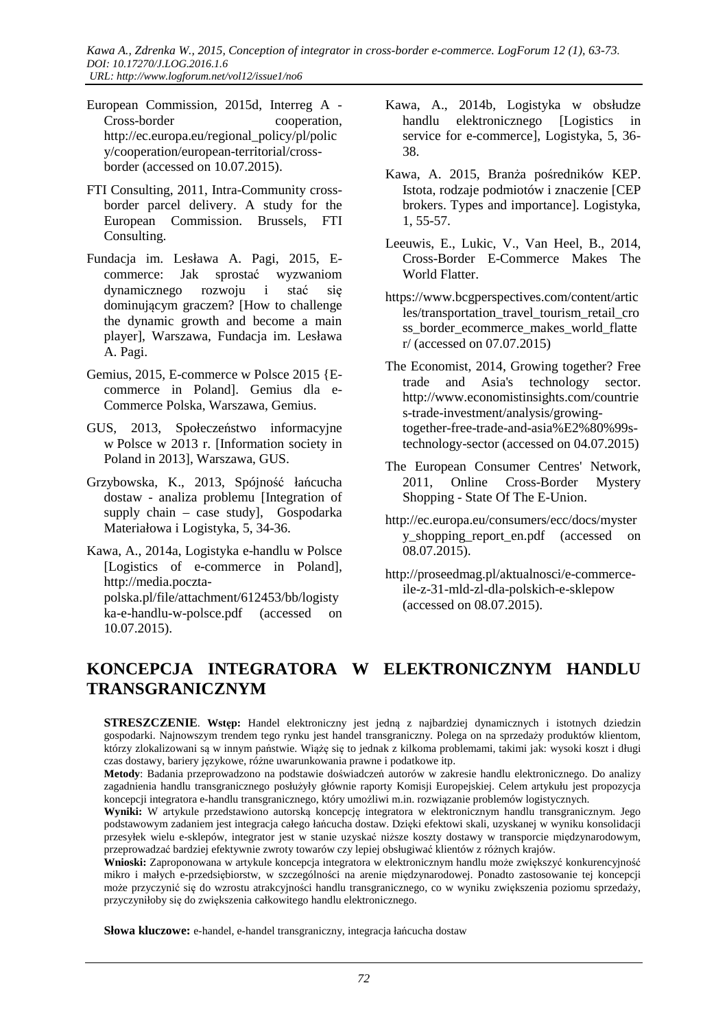*Kawa A., Zdrenka W., 2015, Conception of integrator in cross-border e-commerce. LogForum 12 (1), 63-73. DOI: 10.17270/J.LOG.2016.1.6 URL: http://www.logforum.net/vol12/issue1/no6* 

- European Commission, 2015d, Interreg A Cross-border cooperation, http://ec.europa.eu/regional\_policy/pl/polic y/cooperation/european-territorial/crossborder (accessed on 10.07.2015).
- FTI Consulting, 2011, Intra-Community crossborder parcel delivery. A study for the European Commission. Brussels, FTI Consulting.
- Fundacja im. Lesława A. Pagi, 2015, Ecommerce: Jak sprostać wyzwaniom dynamicznego rozwoju i stać się dominującym graczem? [How to challenge the dynamic growth and become a main player], Warszawa, Fundacja im. Lesława A. Pagi.
- Gemius, 2015, E-commerce w Polsce 2015 {Ecommerce in Poland]. Gemius dla e-Commerce Polska, Warszawa, Gemius.
- GUS, 2013, Społeczeństwo informacyjne w Polsce w 2013 r. [Information society in Poland in 2013], Warszawa, GUS.
- Grzybowska, K., 2013, Spójność łańcucha dostaw - analiza problemu [Integration of supply chain – case study], Gospodarka Materiałowa i Logistyka, 5, 34-36.
- Kawa, A., 2014a, Logistyka e-handlu w Polsce [Logistics of e-commerce in Poland], http://media.pocztapolska.pl/file/attachment/612453/bb/logisty ka-e-handlu-w-polsce.pdf (accessed on 10.07.2015).
- Kawa, A., 2014b, Logistyka w obsłudze handlu elektronicznego [Logistics in service for e-commerce], Logistyka, 5, 36- 38.
- Kawa, A. 2015, Branża pośredników KEP. Istota, rodzaje podmiotów i znaczenie [CEP brokers. Types and importance]. Logistyka, 1, 55-57.
- Leeuwis, E., Lukic, V., Van Heel, B., 2014, Cross-Border E-Commerce Makes The World Flatter.
- https://www.bcgperspectives.com/content/artic les/transportation\_travel\_tourism\_retail\_cro ss\_border\_ecommerce\_makes\_world\_flatte r/ (accessed on 07.07.2015)
- The Economist, 2014, Growing together? Free trade and Asia's technology sector. http://www.economistinsights.com/countrie s-trade-investment/analysis/growingtogether-free-trade-and-asia%E2%80%99stechnology-sector (accessed on 04.07.2015)
- The European Consumer Centres' Network, 2011, Online Cross-Border Mystery Shopping - State Of The E-Union.
- http://ec.europa.eu/consumers/ecc/docs/myster y\_shopping\_report\_en.pdf (accessed on 08.07.2015).
- http://proseedmag.pl/aktualnosci/e-commerceile-z-31-mld-zl-dla-polskich-e-sklepow (accessed on 08.07.2015).

# **KONCEPCJA INTEGRATORA W ELEKTRONICZNYM HANDLU TRANSGRANICZNYM**

**STRESZCZENIE**. **Wstęp:** Handel elektroniczny jest jedną z najbardziej dynamicznych i istotnych dziedzin gospodarki. Najnowszym trendem tego rynku jest handel transgraniczny. Polega on na sprzedaży produktów klientom, którzy zlokalizowani są w innym państwie. Wiążę się to jednak z kilkoma problemami, takimi jak: wysoki koszt i długi czas dostawy, bariery językowe, różne uwarunkowania prawne i podatkowe itp.

**Metody**: Badania przeprowadzono na podstawie doświadczeń autorów w zakresie handlu elektronicznego. Do analizy zagadnienia handlu transgranicznego posłużyły głównie raporty Komisji Europejskiej. Celem artykułu jest propozycja koncepcji integratora e-handlu transgranicznego, który umożliwi m.in. rozwiązanie problemów logistycznych.

**Wyniki:** W artykule przedstawiono autorską koncepcję integratora w elektronicznym handlu transgranicznym. Jego podstawowym zadaniem jest integracja całego łańcucha dostaw. Dzięki efektowi skali, uzyskanej w wyniku konsolidacji przesyłek wielu e-sklepów, integrator jest w stanie uzyskać niższe koszty dostawy w transporcie międzynarodowym, przeprowadzać bardziej efektywnie zwroty towarów czy lepiej obsługiwać klientów z różnych krajów.

**Wnioski:** Zaproponowana w artykule koncepcja integratora w elektronicznym handlu może zwiększyć konkurencyjność mikro i małych e-przedsiębiorstw, w szczególności na arenie międzynarodowej. Ponadto zastosowanie tej koncepcji może przyczynić się do wzrostu atrakcyjności handlu transgranicznego, co w wyniku zwiększenia poziomu sprzedaży, przyczyniłoby się do zwiększenia całkowitego handlu elektronicznego.

**Słowa kluczowe:** e-handel, e-handel transgraniczny, integracja łańcucha dostaw